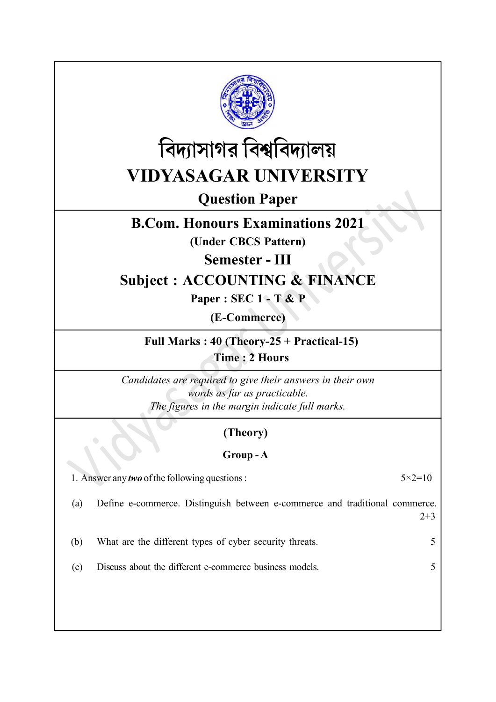



Question Paper

## B.Com. Honours Examinations 2021

(Under CBCS Pattern)

Semester - III

# Subject : ACCOUNTING & FINANCE

Paper : SEC 1 - T & P

(E-Commerce)

Full Marks : 40 (Theory-25 + Practical-15) Time : 2 Hours

Candidates are required to give their answers in their own words as far as practicable. The figures in the margin indicate full marks.

## (Theory)

### Group - A

1. Answer any *two* of the following questions :  $5 \times 2 = 10$ 

(a) Define e-commerce. Distinguish between e-commerce and traditional commerce.  $2+3$ 

(b) What are the different types of cyber security threats. 5

(c) Discuss about the different e-commerce business models. 5